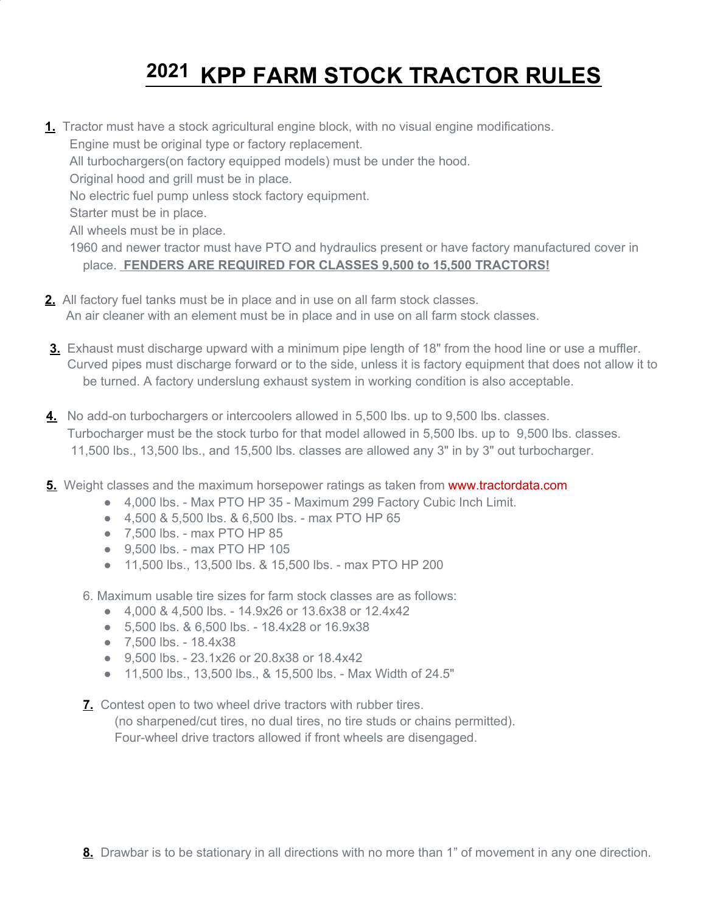## **2021 KPP FARM STOCK TRACTOR RULES**

- **1.** Tractor must have a stock agricultural engine block, with no visual engine modifications. Engine must be original type or factory replacement. All turbochargers(on factory equipped models) must be under the hood. Original hood and grill must be in place. No electric fuel pump unless stock factory equipment. Starter must be in place. All wheels must be in place. 1960 and newer tractor must have PTO and hydraulics present or have factory manufactured cover in place. **FENDERS ARE REQUIRED FOR CLASSES 9,500 to 15,500 TRACTORS!**
- **2.** All factory fuel tanks must be in place and in use on all farm stock classes. An air cleaner with an element must be in place and in use on all farm stock classes.
- **3.** Exhaust must discharge upward with a minimum pipe length of 18" from the hood line or use a muffler. Curved pipes must discharge forward or to the side, unless it is factory equipment that does not allow it to be turned. A factory underslung exhaust system in working condition is also acceptable.
- **4.** No add-on turbochargers or intercoolers allowed in 5,500 lbs. up to 9,500 lbs. classes. Turbocharger must be the stock turbo for that model allowed in 5,500 lbs. up to 9,500 lbs. classes. 11,500 lbs., 13,500 lbs., and 15,500 lbs. classes are allowed any 3" in by 3" out turbocharger.
- **5.** Weight classes and the maximum horsepower ratings as taken from [www.tractordata.com](http://www.tractordata.com/)
	- 4.000 lbs. Max PTO HP 35 Maximum 299 Factory Cubic Inch Limit.
	- 4,500 & 5,500 lbs. & 6,500 lbs. max PTO HP 65
	- 7,500 lbs. max PTO HP 85
	- 9,500 lbs. max PTO HP 105
	- 11,500 lbs., 13,500 lbs. & 15,500 lbs. max PTO HP 200
	- 6. Maximum usable tire sizes for farm stock classes are as follows:
		- 4,000 & 4,500 lbs. 14.9x26 or 13.6x38 or 12.4x42
		- 5,500 lbs. & 6,500 lbs. 18.4x28 or 16.9x38
		- 7,500 lbs. 18.4x38
		- 9,500 lbs. 23.1x26 or 20.8x38 or 18.4x42
		- 11,500 lbs., 13,500 lbs., & 15,500 lbs. Max Width of 24.5"
	- **7.** Contest open to two wheel drive tractors with rubber tires.
		- (no sharpened/cut tires, no dual tires, no tire studs or chains permitted). Four-wheel drive tractors allowed if front wheels are disengaged.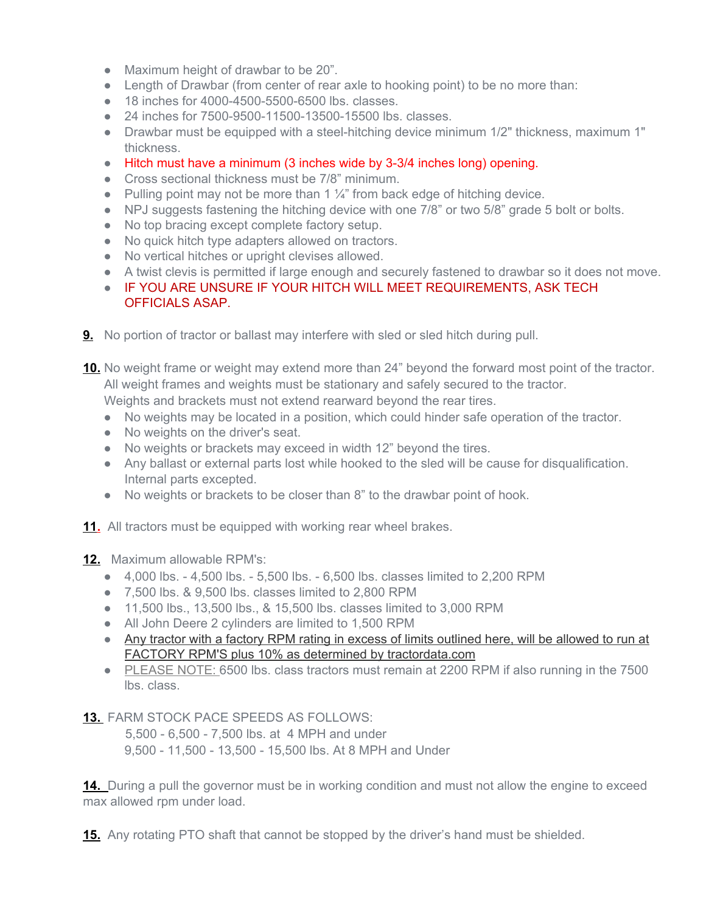- Maximum height of drawbar to be 20".
- Length of Drawbar (from center of rear axle to hooking point) to be no more than:
- 18 inches for 4000-4500-5500-6500 lbs. classes.
- 24 inches for 7500-9500-11500-13500-15500 lbs. classes.
- Drawbar must be equipped with a steel-hitching device minimum 1/2" thickness, maximum 1" thickness.
- Hitch must have a minimum (3 inches wide by 3-3/4 inches long) opening.
- Cross sectional thickness must be 7/8" minimum.
- Pulling point may not be more than 1  $\frac{1}{4}$ " from back edge of hitching device.
- NPJ suggests fastening the hitching device with one 7/8" or two 5/8" grade 5 bolt or bolts.
- No top bracing except complete factory setup.
- No quick hitch type adapters allowed on tractors.
- No vertical hitches or upright clevises allowed.
- A twist clevis is permitted if large enough and securely fastened to drawbar so it does not move.
- **EXECTS IF YOU ARE UNSURE IF YOUR HITCH WILL MEET REQUIREMENTS, ASK TECH** OFFICIALS ASAP.
- **9.** No portion of tractor or ballast may interfere with sled or sled hitch during pull.

**10.** No weight frame or weight may extend more than 24" beyond the forward most point of the tractor. All weight frames and weights must be stationary and safely secured to the tractor. Weights and brackets must not extend rearward beyond the rear tires.

- No weights may be located in a position, which could hinder safe operation of the tractor.
- No weights on the driver's seat.
- No weights or brackets may exceed in width 12" beyond the tires.
- Any ballast or external parts lost while hooked to the sled will be cause for disqualification. Internal parts excepted.
- No weights or brackets to be closer than 8" to the drawbar point of hook.
- **11.** All tractors must be equipped with working rear wheel brakes.

**12.** Maximum allowable RPM's:

- 4,000 lbs. 4,500 lbs. 5,500 lbs. 6,500 lbs. classes limited to 2,200 RPM
- 7,500 lbs. & 9,500 lbs. classes limited to 2,800 RPM
- 11,500 lbs., 13,500 lbs., & 15,500 lbs. classes limited to 3,000 RPM
- All John Deere 2 cylinders are limited to 1,500 RPM
- Any tractor with a factory RPM rating in excess of limits outlined here, will be allowed to run at FACTORY RPM'S plus 10% as determined by tractordata.com
- PLEASE NOTE: 6500 lbs. class tractors must remain at 2200 RPM if also running in the 7500 lbs. class.
- **13.** FARM STOCK PACE SPEEDS AS FOLLOWS:

5,500 - 6,500 - 7,500 lbs. at 4 MPH and under 9,500 - 11,500 - 13,500 - 15,500 lbs. At 8 MPH and Under

**14.** During a pull the governor must be in working condition and must not allow the engine to exceed max allowed rpm under load.

**15.** Any rotating PTO shaft that cannot be stopped by the driver's hand must be shielded.